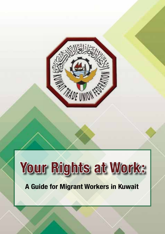

# **A Guide for Migrant Workers in Kuwait Your Rights at Work:**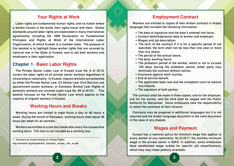# **Your Rights at Work**

Labor rights are fundamental human rights, and no matter where a worker travels in the world, their rights travel with them. Global standards around labor rights are elaborated in many international agreements, including the 1998 Declaration on Fundamental Principles and Rights at Work of the International Labor Organization, of which Kuwait is a member state. The purpose of this booklet is to highlight those worker rights that are covered by national law in the State of Kuwait, and to aid both workers and employers in their application.

# **Chapter 1 : Basic Labor Rights**

The Private Sector Labor Law of Kuwait (Law No. 6 of 2010) covers the labor rights of all private sector workers regardless of citizenship or nationality. In Kuwait, migrant workers are protected by either the Private Sector Law, Oil Sector Law, Civil Service Law (government sector workers), or Domestic Worker Law. Rights of domestic workers are covered under (Law No. 85 of 2015)<sup>1</sup>. This booklet focuses on the Private Sector Law which applies to the majority of migrant workers in Kuwait.

# **Working Hours and Breaks**

Working hours are limited to eight hours a day or 48 hours a week. During the month of Ramadan, working hours shall equal 36 hours per week for all workers.

Workers are entitled to a one hour break after every five consecutive working hours. This hour is not included as a working hour.

1 - Summary by Kuwait Society for Human Rights: http://kuwaithr.org/files/dwl/the\_domestic\_worker\_law\_en.pdf

# **Employment Contract**

Workers are entitled to copies of their written contract in Arabic language that includes the following information:

- The date of signature and the date it entered into force;
- Contact details/personal data of worker and employer;
- Wages and job description;
- The term of the contract if it is for a specific period (if not specified, the term shall not be less than one year or more than five years).
- The period of the annual leave;
- The daily working hours;
- The probation period of the worker, which is not to exceed 100 days (during the probation period, either party may terminate the contract without notice);
- Insurance against work injuries;
- End of service benefit;
- The applicable labor law and the competent court to resolve any dispute;
- The signature of both parties

The contract shall be made in three copies; one for the employer, one for the worker, and the third shall be lodged with the Public Authority for Manpower. Some embassies take the responsibility to attest the contracts of their citizens.

Contracts may be prepared in additional languages but it is not required and the Arabic language document is the valid document in the case of any dispute.

# **Wages and Payment**

Kuwait has a national policy for minimum wage that applies to every worker of any nationality. As of 2017, the monthly minimum wage in the private sector is 60KD. In addition, some embassies have established wage scales for specific job classifications, which they may make publicly available.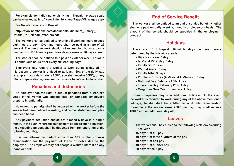For example, for Indian nationals living in Kuwait the wage scale can be checked at: http://www.indembkwt.org/Pages/MinWages.aspx

For Nepali nationals in Kuwait:

http://www.nembdoha.com/documents/Minimum\_Salary\_ Details for Nepali Workers.pdf

The worker shall be entitled to overtime if working hours exceed eight hours a day. Overtime hours shall be paid at a rate of 25 percent. The overtime work should not exceed two hours a day, a maximum of 180 hours a year, three days a week or 90 days a year.

The worker shall be entitled to a paid day-off per week, equal to 24 continuous hours after every six working days.

Employers may require a worker to work during a day-off. If this occurs, a worker is entitled to at least 150% of the daily rate (example: if your daily rate is 20KD, you shall receive 30KD), or any other compensation agreement that is more beneficial to the worker.

## **Penalties and deductions**

An employer has the right to deduct penalties from a worker's wage if the worker was absent, late, or damages employer's property intentionally.

However, no penalty shall be imposed on the worker before the worker had been notified in writing, and his/her statement and plea has been heard.

Any payment deduction should not exceed 5 days in a single month. In the event where the punishment exceeds such deduction, the exceeding amount shall be deducted from remuneration of the following month(s).

It is not allowed to deduct more than 10% of the worker›s remuneration for the payment of loans or debts due to the employer. The employer may not charge a worker interest on any loans or debts.

# **End of Service Benefit**

The worker shall be entitled to an end of service benefit whether she/he is paid on daily, weekly, monthly or piecework basis. The amount of the benefit should be specified in the employment contract.

# **Holidays**

There are 13 fully-paid official holidays per year, some determined by the Islamic calendar:

- Hijra New Year: 1 day
- Isra' and Mi'raj day: 1 day
- Eid Al-Fitr: 3 days
- Waqfat Arafat: 1 day
- Eid Al-Adha: 3 days
- Prophet's Birthday (Al-Mawlid Al-Nabawi): 1 day
- National Day: February 25th, 1 day
- Liberation Day: February 26th, 1 day
- Gregorian New Year: 1 January: 1 day

Some companies may offer additional holidays. In the event the worker is required to work during any of the above mentioned holidays, he/she shall be entitled to a double remuneration (Example: if the worker earns 20KD per day, they shall receive 40KD) and an additional day off.

## **Leaves**

The worker shall be entitled to the following sick leaves during the year: 15 days – at full pay 10 days – at three quarters of the pay 10 days – at half pay 10 days – at quarter pay 30 days without pay.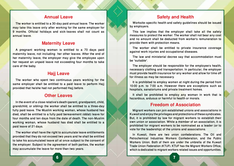# **Annual Leave**

The worker is entitled to a 30-day paid annual leave. The worker may take this leave only after working for the same employer for 9 months. Official holidays and sick-leaves shall not count as annual leave.

# **Maternity Leave**

A pregnant working woman is entitled to a 70 days paid maternity leave, not including her other leaves. After the end of her maternity leave, the employer may give the employee upon her request an unpaid leave not exceeding four months to take care of the baby.

# **Hajj Leave**

The worker who spent two continuous years working for the same employer shall be entitled to a paid leave to perform Hajj provided that he/she had not performed Hajj before.

# **Other Leaves**

In the event of a close relative's death (parent, grandparent, child, grandchild, or sibling) the worker shall be entitled to a three-day fully paid leave. The Muslim working woman, whose husband has died, shall be entitled to a fully paid bereavement (iddat) leave for four months and ten days from the date of death. The non-Muslim working woman, whose husband has died shall be entitled to a paid leave of 21 days.

The worker shall have the right to accumulate leave entitlements provided that they do not exceed two years and he shall be entitled to take his accumulated leave all at once subject to the consent of the employer. Subject to the agreement of both parties, the worker may accumulate the leave for more than two years.

# **Safety and Health**

Worksite-specific health and safety guidelines should be issued by employers.

This law implies that the employer shall take all the safety measures to protect the worker. The worker shall not bear any cost and no amount shall be deducted from worker's remuneration to provide them with protection means.

The worker shall be entitled to private insurance coverage against work injuries and occupational diseases.

The law and ministerial decree say that accommodation must be "suitable".

The employer should be responsible for the employee's health, necessary clothing and transportation. In particular, the employer must provide health insurance for any worker and allow for time off for illness as may be necessary.

It is prohibited to employ women at night during the period from 10:00 p.m. to 7:00 a.m. However there are exceptions such as hospitals, sanatoriums and private treatment homes.

It shall be prohibited to employ any woman in work that is hazardous, arduous or harmful to health or morals.

# **Freedom of Association**

Migrant workers can join established unions and associations in Kuwait and enjoy the privileges and protections of these syndicates. But, it is prohibited by law for migrant workers to establish their own union or association. While a member of an association, it is prohibited for migrant workers to be nominated as a leader for to vote for the leadership] of the unions and associations.

In Kuwait, there are two union confederations. The Oil and Petrochemical Industries Workers Confederation, and the Public Workers Union. Both of them are under the umbrella of the Kuwait Trade Union Federation (KTUF). KTUF has the Migrant Workers Office, which is dedicated to migrant workers related issues and opportunities.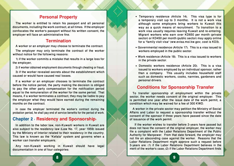# **Personal Property**

The worker is entitled to retain his passport and all personal documents, including the work contract, at all times. If the employer confiscates the worker's passport without his written consent, the employer will face an administrative fine.

# **Termination**

A worker or an employer may choose to terminate the contract.

The employer may only terminate the contract of the worker without notice for the following reasons:

1) if the worker commits a mistake that results in a large loss for the employer;

2) if worker obtained employment documents through cheating or fraud;

3) if the worker revealed secrets about the establishment which caused or would have caused real losses.

If a worker or an employer chooses to terminate the contract before the notice period, the party making the decision is obliged to pay the other party compensation for the notification period equal to the remuneration of the worker for the same period. That means, if a worker terminates a contract, they may be liable to pay the employer what they would have earned during the remaining months on the contract.

In case the employer terminated the worker's contract during the probation period, he shall pay end of service benefits for the period of work.

# **Chapter 2 : Residency and Sponsorship:**

In addition to the labor law, non-Kuwaiti workers in Kuwait are also subject to the residency law (Law No. 17, year 1959) issued by the MInistry of Interior related to their residency in the country. This law is known as the "Kefala" system and governs when a worker can transfer employers.

Any non-Kuwaiti working in Kuwait should have legal documentation in one of four categories:

- Temporary residence (Article 14). This visa type is for a temporary visit (up to 3 months). It is not a work visa although some employers bring workers to Kuwait this way as a quick means of recruitment. To transition to a work visa usually requires leaving Kuwait and re-entering. Migrant workers who earn over KD650 per month (private sector) or KD450 per month (public sector) may apply online for a "family visit visa" (ww.evisa.moi.kw.gov; cost is KD3).
- Governmental residence (Article 17). This is a visa issued to workers employed in the public sector.
- Work residence (Article 18). This is a visa issued to workers in the private sector.
- Domestic workers residence (Article 20). This is a visa issued to workers employed by an individual sponsor, rather than a company. This usually includes household staff such as domestic workers, cooks, nannies, gardeners and personal drivers.

# **Conditions for Sponsorship Transfer**

To transfer sponsorship of employment within the private sector, the worker needs consent of the original employer. This is permitted one year after the issue date of the work permit, a condition which may be waived for a fee of 300 KWD.

A worker in the private sector may petition the Ministry of Social Affairs and Labor to request a sponsorship transfer without the consent of the sponsor if three years have passed since the date of issuance of the work permit.

 If the worker wishes to transfer before 3-years have passed but does not have the consent of the original employer, the worker may file a complaint with the Labor Relations Department of the Public Authority for Manpower. From that date forward, the employer may not file an absconding case against the worker. Reasons that the Labor Relations Department might approve such a request before 3-years are: (1) if the Labor Relations Department believes in the merit of the worker's case; (2) if the Labor Relations Department finds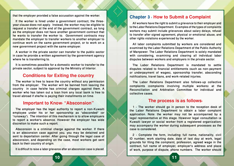that the employer provided a false accusation against the worker.

If the worker is hired under a government contract, the threeyear clause does not apply. Instead, the worker may be eligible to request a transfer at the end of the government contract, as long as the employer does not have another government contract that he wants to transfer the worker to. Government contracts may mandate the employer to transfer workers to another employer to continue work on the same government project, or to work on a new government project with the same employer.

A worker in the private sector can transfer to the public sector in case he provide a written agreement by the government agency where he is transferring to.

It is sometimes possible for a domestic worker to transfer to the private sector, subject to approval by the Ministry of Interior.

# **Conditions for Exiting the country**

The worker is free to leave the country without any permission from the employer. The worker will be banned from leaving the country in case he/she has criminal charges against them. A worker who has taken out a loan from any local bank is free to travel abroad if she/he is paying their installments on time.

# **Important to Know: "Absconsion"**

The employer has the legal authority to report a non-Kuwaiti employee under his or her sponsorship as "absconded" (or "runaway"). The intention of this mechanism is to allow employers to report a worker's absence. However the employer has wide discretion to make such a report.

Absconsion is a criminal charge against the worker. If there is an absconsion case against you, you may be detained and sent to deportation center. After going through the legal case of absconsion, and depending on the case, most workers get sent back to their country of origin.

It is difficult to raise a labor grievance after an absconsion case is placed.

# **Chapter 3 : How to Submit a Complaint**

All workers have the right to submit a grievance to their employer and to the Labor Relations Department. Examples of the types of complaints workers may submit include grievances about salary delays, refusal to transfer after signed agreement, physical or emotional abuse, and other rights violations experienced by the worker.

All labor complaints submitted by workers are considered and examined by the Labor Relations Department of the Public Authority of Manpower. The Labor Relations Department is solely mandated with considering, examining and clearing all individual labor disputes between workers and employers in the private sector.

The Labor Relations Department is mandated to settle disputes related to financial entitlements (such as non-payment or underpayment of wages), sponsorship transfer, absconding notifications, travel bans, and work-related injuries.

The Labor Relations Department also follows-up collective complaints (complaints involving multiple workers) at the Reconciliation and Arbitration Committee for individual and collective cases.

## **The process is as follows:**

1 - The worker should go in person to the reception desk of the Labor Relations Department to obtain a labor complaint application. Note: the worker may not be accompanied by a legal representative at this stage. However legal consultation (a Kuwaiti lawyer or social worker from a registered organization) may accompany the worker during subsequent processes as the case is considered.

2 - Complete the form, including: full name, nationality, civil ID number, work starting date, date of last day at work, legal grounds for filing the complaint, profession, agreed wage in the grounds for ming the complaint, profession, agreed wage in the contract, full name of employer, employer's address and place of work, purpose of dispute, phone numbers. The worker should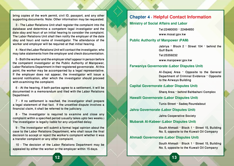bring copies of the work permit, civil ID, passport, and any other supporting documents. Note: Other information may be requested.

3 - The Labor Relations Unit shall register the complaint into the database and determine a competent legal investigator and the date (day and hour) of an initial hearing to consider the complaint. The Labor Relations Unit shall then notify the employer of the date (day and hour) and name of investigator. The attendance of the worker and employer will be required at that initial hearing.

4 - Next the Labor Relations Unit will contact the investigator, who may take statements from the employer and check documentation.

5 - Both the worker and the employer shall appear in person before the competent investigator at the Public Authority of Manpower, Labor Relations Department in their registered governorate. At this point, the worker may be accompanied by a legal representative. If the employer does not appear, the investigator will issue a second notification, after which the investigator should proceed with examining the complaint.

6 - At the hearing, if both parties agree to a settlement, it will be documented in a memorandum and filed with the Labor Relations Department.

7 - If no settlement is reached, the investigator shall prepare a legal statement of that fact. If the unsettled dispute involves a financial claim, it shall be referred to the judiciary.

8 - The investigator is required to examine and close any complaint within a specified period (usually takes upto two weeks.) The investigator is legally liable for any unjustified delay.

9 - The investigator will submit a formal legal opinion about the case to the Labor Relations Department, who shall issue the final decision to accept or reject the worker's complaint whether it was a transfer complaint or any other complaint.

10 - The decision of the Labor Relations Department may be appealed by either the worker or the employer within 15 days.

# **Chapter 4 : Helpful Contact Information**

## **Ministry of Social Affairs and Labor**

Tel:22480000 – 22484850

www.mosal.gov.kw

## **Public Authority of Manpower (PAM)**

Jabriya – Block 2 – Street 104 – behind the Gulf Bank

Tel:25359232

www.manpower.gov.kw

## **Farwaniya Governorate (Labor Disputes Unit)**

Al-Dajeej Area – Opposite to the General Department of Criminal Evidence – Opposite to the Airways Building

## **Capital Governorate (Labor Disputes Unit)**

Sharq Area – behind Bahbahani Complex

**Hawalli Governorate (Labor Disputes Unit)**

Tunis Street – Sadeq Roundabout

**Jahra Governorate (Labor Disputes Unit)**

Jahra Cooperative Society

**Mubarak Al-Kabeer (Labor Disputes Unit)**

South Ahmadi – Block 1 – Street 15, Building No. 5, opposite to the Kuwait Oil Company

## **Ahmadi Governorate (Labor Disputes Unit)**

South Ahmadi – Block 1 – Street 15, Building No. 5, opposite to the Kuwait Oil Company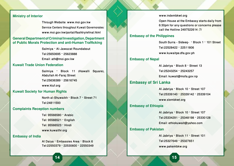## **Ministry of Interior**

Through Website: www.moi.gov.kw Service Centers throughout Kuwait Governorates: www.moi.gov.kw/portal/flashtry/efinal.html

## **General Department of Criminal Investigation, Department of Public Morals Protection and anti-Human Trafficking**

Salmiya – Al-Jawazat Roundabout Tel:25650695 – 25623888 Email: ath@moi.gov.kw

## **Kuwait Trade Union Federation**

Salmiya – Block 11 (Hawalli Square), Abdullah Al-Faraj Street Tel:25636389 – 25616745 www.ktuf.org

## **Kuwait Society for Human Rights**

North al-Shuwaikh – Block 7 – Street 71 Tel:24811593

#### **Complaints Reception numbers**

Tel: 95566580 – Arabic Tel: 95566521 – English Tel: 95566523 – Hindi www.kuwaithr.org

### **Embassy of India**

Al Daiya – Embassies Area – Block 6 Tel:22550379 – 22530600 – 22550349 www.indembkwt.org

Open House at the Embassy starts daily from 6:30pm for any questions or concerns please call the Hotline 2497522614 :7/

## **Embassy of the Philippines**

South Surra - Sideeq- – Block 1 – 101 Street Tel:22528422 – 22511806 www.kuwaitpe.dfa.gov.ph

## **Embassy of Nepal**

Al Jabriya – Block 8 – Street 13 Tel:25243254 – 25243257 Email: kuwait@mofa.gov.np

## **Embassy of Sri Lanka**

Al Jabriya – Block 10 – Street 107 Tel:25339140 – 25339142 – 25339104 www.slembkwt.org

## **Embassy of Ethiopia**

Al Jabriya – Block 10 – Street 107 Tel:25334291 – 25348198 – 25330128 Email: ethiokuwait@yahoo.com

## **Embassy of Pakistan**

Al Jabriya – Block 11 – Street 101 Tel:25327649 – 25327651 www.pakembkw.org